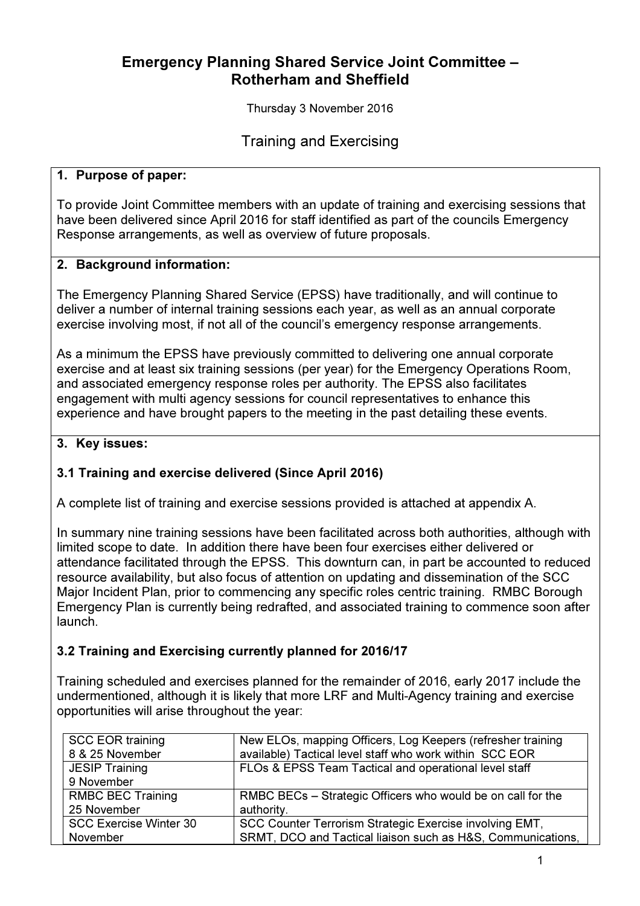# Emergency Planning Shared Service Joint Committee – Rotherham and Sheffield

Thursday 3 November 2016

Training and Exercising

#### 1. Purpose of paper:

To provide Joint Committee members with an update of training and exercising sessions that have been delivered since April 2016 for staff identified as part of the councils Emergency Response arrangements, as well as overview of future proposals.

#### 2. Background information:

The Emergency Planning Shared Service (EPSS) have traditionally, and will continue to deliver a number of internal training sessions each year, as well as an annual corporate exercise involving most, if not all of the council's emergency response arrangements.

As a minimum the EPSS have previously committed to delivering one annual corporate exercise and at least six training sessions (per year) for the Emergency Operations Room, and associated emergency response roles per authority. The EPSS also facilitates engagement with multi agency sessions for council representatives to enhance this experience and have brought papers to the meeting in the past detailing these events.

#### 3. Key issues:

## 3.1 Training and exercise delivered (Since April 2016)

A complete list of training and exercise sessions provided is attached at appendix A.

In summary nine training sessions have been facilitated across both authorities, although with limited scope to date. In addition there have been four exercises either delivered or attendance facilitated through the EPSS. This downturn can, in part be accounted to reduced resource availability, but also focus of attention on updating and dissemination of the SCC Major Incident Plan, prior to commencing any specific roles centric training. RMBC Borough Emergency Plan is currently being redrafted, and associated training to commence soon after launch.

## 3.2 Training and Exercising currently planned for 2016/17

Training scheduled and exercises planned for the remainder of 2016, early 2017 include the undermentioned, although it is likely that more LRF and Multi-Agency training and exercise opportunities will arise throughout the year:

| <b>SCC EOR training</b>       | New ELOs, mapping Officers, Log Keepers (refresher training |
|-------------------------------|-------------------------------------------------------------|
| 8 & 25 November               | available) Tactical level staff who work within SCC EOR     |
| <b>JESIP Training</b>         | FLOs & EPSS Team Tactical and operational level staff       |
| 9 November                    |                                                             |
| <b>RMBC BEC Training</b>      | RMBC BECs - Strategic Officers who would be on call for the |
| 25 November                   | authority.                                                  |
| <b>SCC Exercise Winter 30</b> | SCC Counter Terrorism Strategic Exercise involving EMT,     |
| November                      | SRMT, DCO and Tactical liaison such as H&S, Communications, |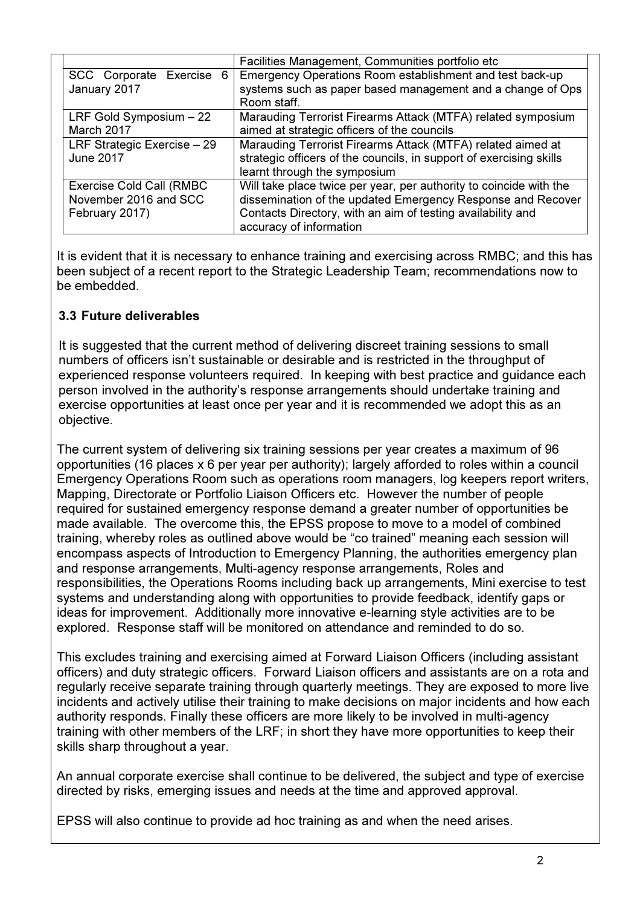|                                 | Facilities Management, Communities portfolio etc                    |  |  |
|---------------------------------|---------------------------------------------------------------------|--|--|
| SCC Corporate Exercise 6        | Emergency Operations Room establishment and test back-up            |  |  |
| January 2017                    | systems such as paper based management and a change of Ops          |  |  |
|                                 | Room staff.                                                         |  |  |
| LRF Gold Symposium $-22$        | Marauding Terrorist Firearms Attack (MTFA) related symposium        |  |  |
| March 2017                      | aimed at strategic officers of the councils                         |  |  |
| LRF Strategic Exercise - 29     | Marauding Terrorist Firearms Attack (MTFA) related aimed at         |  |  |
| <b>June 2017</b>                | strategic officers of the councils, in support of exercising skills |  |  |
|                                 | learnt through the symposium                                        |  |  |
| <b>Exercise Cold Call (RMBC</b> | Will take place twice per year, per authority to coincide with the  |  |  |
| November 2016 and SCC           | dissemination of the updated Emergency Response and Recover         |  |  |
| February 2017)                  | Contacts Directory, with an aim of testing availability and         |  |  |
|                                 | accuracy of information                                             |  |  |

It is evident that it is necessary to enhance training and exercising across RMBC; and this has been subject of a recent report to the Strategic Leadership Team; recommendations now to be embedded.

## 3.3 Future deliverables

It is suggested that the current method of delivering discreet training sessions to small numbers of officers isn't sustainable or desirable and is restricted in the throughput of experienced response volunteers required. In keeping with best practice and guidance each person involved in the authority's response arrangements should undertake training and exercise opportunities at least once per year and it is recommended we adopt this as an objective.

The current system of delivering six training sessions per year creates a maximum of 96 opportunities (16 places x 6 per year per authority); largely afforded to roles within a council Emergency Operations Room such as operations room managers, log keepers report writers, Mapping, Directorate or Portfolio Liaison Officers etc. However the number of people required for sustained emergency response demand a greater number of opportunities be made available. The overcome this, the EPSS propose to move to a model of combined training, whereby roles as outlined above would be "co trained" meaning each session will encompass aspects of Introduction to Emergency Planning, the authorities emergency plan and response arrangements, Multi-agency response arrangements, Roles and responsibilities, the Operations Rooms including back up arrangements, Mini exercise to test systems and understanding along with opportunities to provide feedback, identify gaps or ideas for improvement. Additionally more innovative e-learning style activities are to be explored. Response staff will be monitored on attendance and reminded to do so.

This excludes training and exercising aimed at Forward Liaison Officers (including assistant officers) and duty strategic officers. Forward Liaison officers and assistants are on a rota and regularly receive separate training through quarterly meetings. They are exposed to more live incidents and actively utilise their training to make decisions on major incidents and how each authority responds. Finally these officers are more likely to be involved in multi-agency training with other members of the LRF; in short they have more opportunities to keep their skills sharp throughout a year.

An annual corporate exercise shall continue to be delivered, the subject and type of exercise directed by risks, emerging issues and needs at the time and approved approval.

EPSS will also continue to provide ad hoc training as and when the need arises.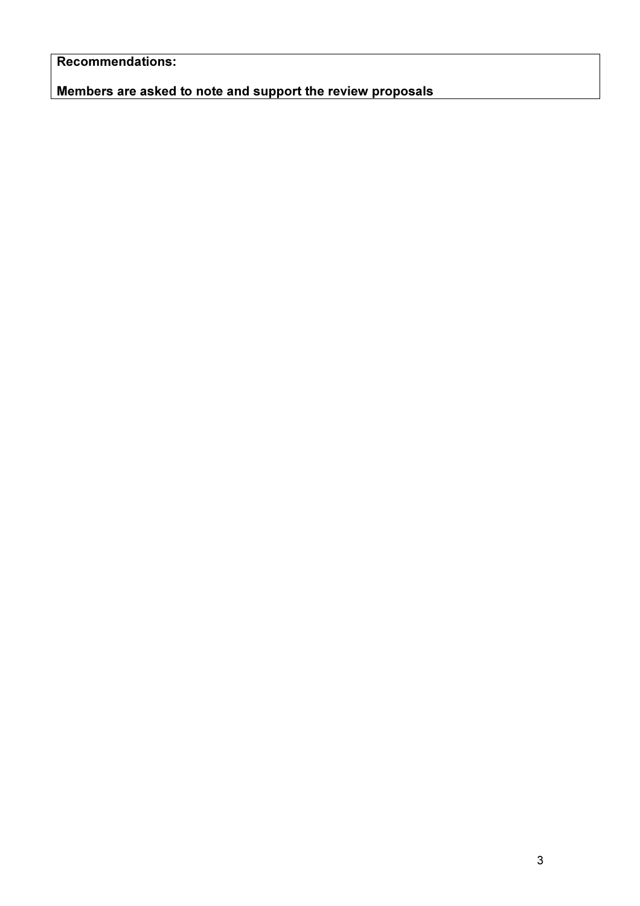Recommendations:

Members are asked to note and support the review proposals